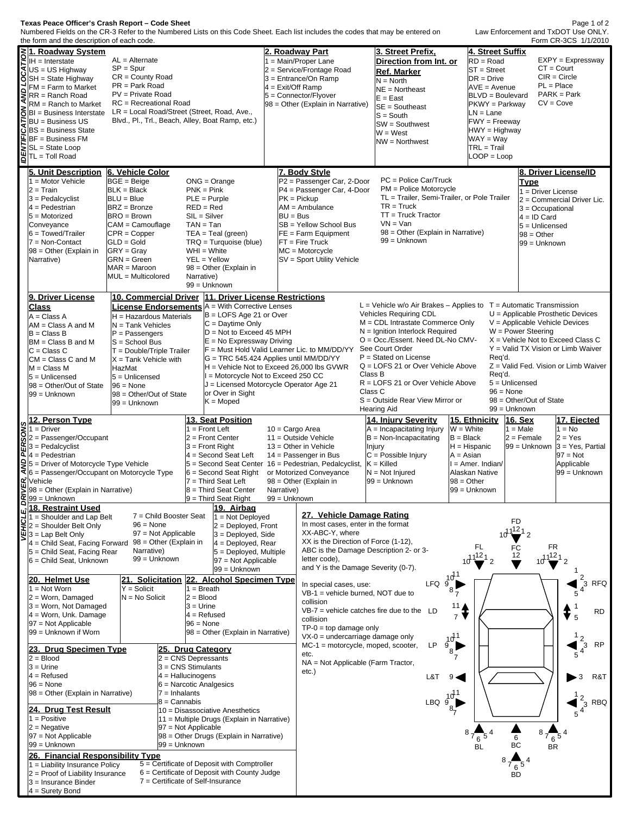## **Texas Peace Officer's Crash Report – Code Sheet**

Numbered Fields on the CR-3 Refer to the Numbered Lists on this Code Sheet. Each list includes the codes that may be entered on

| Form CR-3CS 1/1/2010<br>the form and the description of each code. |                                                                                                                                                                                                                                                                                                                                                                                                                                                                            |                                                                               |                                        |                                                                                        |                                                                                |                                                          |                                                                                                      |                                                        |                                                                        |                                    |  |
|--------------------------------------------------------------------|----------------------------------------------------------------------------------------------------------------------------------------------------------------------------------------------------------------------------------------------------------------------------------------------------------------------------------------------------------------------------------------------------------------------------------------------------------------------------|-------------------------------------------------------------------------------|----------------------------------------|----------------------------------------------------------------------------------------|--------------------------------------------------------------------------------|----------------------------------------------------------|------------------------------------------------------------------------------------------------------|--------------------------------------------------------|------------------------------------------------------------------------|------------------------------------|--|
|                                                                    | ≷ 1. Roadway System<br>E <sup>IH = Interstate</sup><br>$AL =$ Alternate                                                                                                                                                                                                                                                                                                                                                                                                    |                                                                               |                                        | <b>2. Roadway Part</b><br>1 = Main/Proper Lane                                         |                                                                                | 3. Street Prefix.<br>Direction from Int. or              |                                                                                                      | 4. Street Suffix<br>$EXPY = Expressway$<br>$RD = Road$ |                                                                        |                                    |  |
|                                                                    | $S$ US = US Highway                                                                                                                                                                                                                                                                                                                                                                                                                                                        | $SP = Spur$                                                                   |                                        |                                                                                        | 2 = Service/Frontage Road                                                      |                                                          | Ref. Marker                                                                                          | <b>ST</b> = Street                                     | $CT = Court$                                                           |                                    |  |
|                                                                    |                                                                                                                                                                                                                                                                                                                                                                                                                                                                            | $CR = County Road$                                                            |                                        |                                                                                        |                                                                                | 3 = Entrance/On Ramp                                     | $N = North$                                                                                          | $DR = Drive$                                           | $CIR = Circle$                                                         |                                    |  |
|                                                                    |                                                                                                                                                                                                                                                                                                                                                                                                                                                                            | $PR = Park Road$                                                              |                                        |                                                                                        | 4 = Exit/Off Ramp                                                              |                                                          | $NE =$ Northeast                                                                                     | <b>AVE</b> = Avenue                                    | $PL = Place$                                                           |                                    |  |
|                                                                    |                                                                                                                                                                                                                                                                                                                                                                                                                                                                            | PV = Private Road                                                             |                                        |                                                                                        |                                                                                | 5 = Connector/Flyover                                    | $E = East$                                                                                           | <b>BLVD</b> = Boulevard                                |                                                                        | $PARK = Park$                      |  |
|                                                                    | $\begin{array}{l} \n\mathbf{Q} > \mathbf{r} = \mathbf{S} \text{tr} \cdot \mathbf{r} \cdot \mathbf{r} \cdot \mathbf{r} \cdot \mathbf{r} \cdot \mathbf{r} \cdot \mathbf{r} \cdot \mathbf{r} \cdot \mathbf{r} \cdot \mathbf{r} \cdot \mathbf{r} \cdot \mathbf{r} \cdot \mathbf{r} \cdot \mathbf{r} \cdot \mathbf{r} \cdot \mathbf{r} \cdot \mathbf{r} \cdot \mathbf{r} \cdot \mathbf{r} \cdot \mathbf{r} \cdot \mathbf{r} \cdot \mathbf{r} \cdot \mathbf{r} \cdot \mathbf{r}$ | RC = Recreational Road<br>LR = Local Road/Street (Street, Road, Ave.,         |                                        |                                                                                        |                                                                                | 98 = Other (Explain in Narrative)                        | $SE =$ Southeast                                                                                     | PKWY = Parkway                                         | $CV = Cove$                                                            |                                    |  |
|                                                                    |                                                                                                                                                                                                                                                                                                                                                                                                                                                                            | Blvd., Pl., Trl., Beach, Alley, Boat Ramp, etc.)                              |                                        |                                                                                        |                                                                                |                                                          | $S = South$                                                                                          | LN = Lane                                              |                                                                        |                                    |  |
|                                                                    | $E$ BU = Business US<br>$E$ BU = Business US                                                                                                                                                                                                                                                                                                                                                                                                                               |                                                                               |                                        |                                                                                        |                                                                                |                                                          | $SW =$ Southwest                                                                                     | <b>FWY</b> = Freeway<br>HWY = Highway                  |                                                                        |                                    |  |
|                                                                    | <b>BF</b> = Business FM                                                                                                                                                                                                                                                                                                                                                                                                                                                    |                                                                               |                                        |                                                                                        |                                                                                |                                                          | $W = West$                                                                                           | WAY = Wav                                              |                                                                        |                                    |  |
|                                                                    | SL = State Loop                                                                                                                                                                                                                                                                                                                                                                                                                                                            |                                                                               |                                        |                                                                                        |                                                                                |                                                          | NW = Northwest                                                                                       | $TRL = Trail$                                          |                                                                        |                                    |  |
|                                                                    | $\sum_{i=1}^{n} \frac{1}{BF} = \text{Business}$<br>SL = State Loop<br>$\sum_{i=1}^{n} \frac{1}{T} = \text{Toll Road}$                                                                                                                                                                                                                                                                                                                                                      |                                                                               |                                        |                                                                                        |                                                                                |                                                          |                                                                                                      | $LOOP = Loop$                                          |                                                                        |                                    |  |
|                                                                    |                                                                                                                                                                                                                                                                                                                                                                                                                                                                            |                                                                               |                                        |                                                                                        |                                                                                |                                                          |                                                                                                      |                                                        |                                                                        |                                    |  |
|                                                                    | 5. Unit Description                                                                                                                                                                                                                                                                                                                                                                                                                                                        | 6. Vehicle Color                                                              |                                        |                                                                                        |                                                                                | 7. Body Style                                            | PC = Police Car/Truck                                                                                |                                                        | 8. Driver License/ID                                                   |                                    |  |
|                                                                    | $1 =$ Motor Vehicle<br>$2 = Train$                                                                                                                                                                                                                                                                                                                                                                                                                                         | $BGE = Beige$<br>$BLK = Black$                                                | $ONG = Orange$<br>$PNK = Pink$         |                                                                                        |                                                                                | P2 = Passenger Car, 2-Door<br>P4 = Passenger Car, 4-Door | PM = Police Motorcycle                                                                               |                                                        | <b>Type</b>                                                            |                                    |  |
|                                                                    | $3 =$ Pedalcyclist                                                                                                                                                                                                                                                                                                                                                                                                                                                         | $BLU = Blue$                                                                  |                                        | $PLE = Purple$                                                                         |                                                                                | $PK = Pickup$                                            | TL = Trailer, Semi-Trailer, or Pole Trailer                                                          |                                                        | 1 = Driver License                                                     | 2 = Commercial Driver Lic.         |  |
|                                                                    | $4 =$ Pedestrian                                                                                                                                                                                                                                                                                                                                                                                                                                                           | BRZ = Bronze                                                                  | $RED = Red$                            |                                                                                        |                                                                                | $AM = Ambulance$                                         | $TR = Truck$                                                                                         |                                                        | $3 = Occupational$                                                     |                                    |  |
|                                                                    | $5 =$ Motorized                                                                                                                                                                                                                                                                                                                                                                                                                                                            | BRO = Brown                                                                   |                                        | $SL = Slver$                                                                           | $BU = Bus$                                                                     |                                                          | $TT = Truek$ Tractor                                                                                 |                                                        | $4 = ID$ Card                                                          |                                    |  |
|                                                                    | Conveyance                                                                                                                                                                                                                                                                                                                                                                                                                                                                 | CAM = Camouflage                                                              | $TAN = Tan$                            |                                                                                        |                                                                                | SB = Yellow School Bus                                   | $VN = Van$                                                                                           |                                                        | 5 = Unlicensed                                                         |                                    |  |
|                                                                    | $6 = \text{Towed/Trailer}$                                                                                                                                                                                                                                                                                                                                                                                                                                                 | $CPR = Copper$                                                                |                                        | $TEA = Teal$ (green)                                                                   |                                                                                | FE = Farm Equipment                                      | 98 = Other (Explain in Narrative)                                                                    |                                                        | $98 = Other$                                                           |                                    |  |
|                                                                    | 7 = Non-Contact                                                                                                                                                                                                                                                                                                                                                                                                                                                            | $ GLD = Gold$                                                                 |                                        | $TRQ = Turguoise (blue)$                                                               |                                                                                | $FT = Fire True$                                         | 99 = Unknown                                                                                         |                                                        | 99 = Unknown                                                           |                                    |  |
|                                                                    | 98 = Other (Explain in                                                                                                                                                                                                                                                                                                                                                                                                                                                     | $ GRY = Gray$                                                                 |                                        | $WHI = White$                                                                          |                                                                                | MC = Motorcycle                                          |                                                                                                      |                                                        |                                                                        |                                    |  |
|                                                                    | Narrative)                                                                                                                                                                                                                                                                                                                                                                                                                                                                 | GRN = Green                                                                   |                                        | $YEL = Yellow$                                                                         | SV = Sport Utility Vehicle                                                     |                                                          |                                                                                                      |                                                        |                                                                        |                                    |  |
|                                                                    |                                                                                                                                                                                                                                                                                                                                                                                                                                                                            | $MAR = Maroon$<br>MUL = Multicolored                                          | Narrative)                             | 98 = Other (Explain in                                                                 |                                                                                |                                                          |                                                                                                      |                                                        |                                                                        |                                    |  |
|                                                                    |                                                                                                                                                                                                                                                                                                                                                                                                                                                                            |                                                                               |                                        | 99 = Unknown                                                                           |                                                                                |                                                          |                                                                                                      |                                                        |                                                                        |                                    |  |
|                                                                    | 9. Driver License                                                                                                                                                                                                                                                                                                                                                                                                                                                          | 10. Commercial Driver  11. Driver License Restrictions                        |                                        |                                                                                        |                                                                                |                                                          |                                                                                                      |                                                        |                                                                        |                                    |  |
|                                                                    | <b>Class</b>                                                                                                                                                                                                                                                                                                                                                                                                                                                               | <b>License Endorsements</b> A = With Corrective Lenses                        |                                        |                                                                                        |                                                                                |                                                          |                                                                                                      |                                                        | $L =$ Vehicle w/o Air Brakes – Applies to $T =$ Automatic Transmission |                                    |  |
|                                                                    | $A = Class A$                                                                                                                                                                                                                                                                                                                                                                                                                                                              | $H =$ Hazardous Materials                                                     |                                        | $B = LOFS$ Age 21 or Over                                                              |                                                                                |                                                          | Vehicles Requiring CDL                                                                               |                                                        | $U =$ Applicable Prosthetic Devices                                    |                                    |  |
|                                                                    | $AM = Class A$ and M                                                                                                                                                                                                                                                                                                                                                                                                                                                       | $N =$ Tank Vehicles                                                           |                                        | $ C =$ Daytime Only                                                                    |                                                                                |                                                          | M = CDL Intrastate Commerce Only<br>$N =$ Ignition Interlock Required                                |                                                        | $V =$ Applicable Vehicle Devices<br>$W = Power Steering$               |                                    |  |
|                                                                    | $B = Class B$                                                                                                                                                                                                                                                                                                                                                                                                                                                              | $D = Not to exceed 45 MPH$<br>$P =$ Passengers<br>$E = No$ Expressway Driving |                                        | F = Must Hold Valid Learner Lic. to MM/DD/YY<br>G = TRC 545.424 Applies until MM/DD/YY |                                                                                | O = Occ./Essent. Need DL-No CMV-                         |                                                                                                      | $X =$ Vehicle Not to Exceed Class C                    |                                                                        |                                    |  |
|                                                                    | BM = Class B and M<br>$C = Class C$                                                                                                                                                                                                                                                                                                                                                                                                                                        | $S =$ School Bus<br>$T = Double/Triple$ Trailer                               |                                        |                                                                                        |                                                                                | See Court Order                                          |                                                                                                      | Y = Valid TX Vision or Limb Waiver<br>Req'd.           |                                                                        |                                    |  |
|                                                                    | $CM = Class C$ and M                                                                                                                                                                                                                                                                                                                                                                                                                                                       | $X =$ Tank Vehicle with<br>HazMat                                             |                                        |                                                                                        |                                                                                | $P =$ Stated on License                                  |                                                                                                      |                                                        |                                                                        |                                    |  |
|                                                                    | $M = Class M$                                                                                                                                                                                                                                                                                                                                                                                                                                                              |                                                                               |                                        |                                                                                        |                                                                                | $H =$ Vehicle Not to Exceed 26,000 lbs GVWR              | $Q = LOFS 21$ or Over Vehicle Above                                                                  |                                                        | $Z =$ Valid Fed. Vision or Limb Waiver                                 |                                    |  |
|                                                                    | $5 =$ Unlicensed                                                                                                                                                                                                                                                                                                                                                                                                                                                           | $5 =$ Unlicensed                                                              |                                        |                                                                                        | I = Motorcycle Not to Exceed 250 CC<br>J = Licensed Motorcycle Operator Age 21 |                                                          | Class B<br>Reg'd.<br>$5 =$ Unlicensed<br>R = LOFS 21 or Over Vehicle Above<br>Class C<br>$96 = None$ |                                                        |                                                                        |                                    |  |
|                                                                    | 98 = Other/Out of State<br>99 = Unknown                                                                                                                                                                                                                                                                                                                                                                                                                                    | $96 = None$                                                                   |                                        | or Over in Sight                                                                       |                                                                                |                                                          |                                                                                                      |                                                        |                                                                        |                                    |  |
|                                                                    |                                                                                                                                                                                                                                                                                                                                                                                                                                                                            | 99 = Unknown                                                                  | 98 = Other/Out of State<br>$K = Moped$ |                                                                                        |                                                                                |                                                          | S = Outside Rear View Mirror or<br>98 = Other/Out of State                                           |                                                        |                                                                        |                                    |  |
|                                                                    |                                                                                                                                                                                                                                                                                                                                                                                                                                                                            |                                                                               |                                        |                                                                                        |                                                                                |                                                          | 99 = Unknown                                                                                         |                                                        |                                                                        |                                    |  |
|                                                                    |                                                                                                                                                                                                                                                                                                                                                                                                                                                                            |                                                                               |                                        |                                                                                        |                                                                                |                                                          | <b>Hearing Aid</b>                                                                                   |                                                        |                                                                        |                                    |  |
|                                                                    | 12. Person Type                                                                                                                                                                                                                                                                                                                                                                                                                                                            |                                                                               |                                        | 13. Seat Position                                                                      |                                                                                |                                                          | <b>14. Injury Severity</b>                                                                           | 15. Ethnicity                                          | 16. Sex                                                                | 17. Ejected                        |  |
|                                                                    | $\sum_{n=1}^{\infty}$ 12. Ferst                                                                                                                                                                                                                                                                                                                                                                                                                                            |                                                                               |                                        | $1 =$ Front Left                                                                       | $10 = \text{Cargo Area}$                                                       |                                                          | $A = Incapacitating Injury$                                                                          | $W = White$                                            | $1 = Male$                                                             | $1 = No$                           |  |
|                                                                    | $\tilde{Q}$ = Passenger/Occupant                                                                                                                                                                                                                                                                                                                                                                                                                                           |                                                                               |                                        | $2 =$ Front Center                                                                     |                                                                                | $11 =$ Outside Vehicle                                   | $B = Non-Incapacitation$                                                                             | $B = Black$                                            | $2 =$ Female                                                           | $2 = Yes$                          |  |
|                                                                    | $\mathbf{K}$ 3 = Pedalcyclist<br>$\mathbf{Q}$ 4 = Pedestrian                                                                                                                                                                                                                                                                                                                                                                                                               |                                                                               |                                        | $3$ = Front Right<br>4 = Second Seat Left                                              |                                                                                | $13 =$ Other in Vehicle<br>$14 =$ Passenger in Bus       | Injury<br>$C =$ Possible Injury                                                                      | $H = H$ ispanic<br>$A = Asian$                         | 99 = Unknown                                                           | $3 = Yes$ , Partial<br>$97 = Not$  |  |
|                                                                    |                                                                                                                                                                                                                                                                                                                                                                                                                                                                            |                                                                               |                                        |                                                                                        |                                                                                | 5 = Second Seat Center 16 = Pedestrian, Pedalcyclist,    | $K =$ Killed                                                                                         | $I = Amer. Indian/$                                    |                                                                        | Applicable                         |  |
|                                                                    | $\frac{Q}{d}$ 5 = Driver of Motorcycle Type Vehicle<br>$\frac{Q}{d}$ 6 = Passenger/Occupant on Motorcycle Type                                                                                                                                                                                                                                                                                                                                                             |                                                                               |                                        | $6 =$ Second Seat Right                                                                |                                                                                | or Motorized Conveyance                                  | $N = Not Injured$                                                                                    | Alaskan Native                                         |                                                                        | 99 = Unknown                       |  |
|                                                                    |                                                                                                                                                                                                                                                                                                                                                                                                                                                                            |                                                                               |                                        | 7 = Third Seat Left<br>8 = Third Seat Center                                           | Narrative)                                                                     | 98 = Other (Explain in                                   | 99 = Unknown                                                                                         | $98 = Other$                                           |                                                                        |                                    |  |
|                                                                    |                                                                                                                                                                                                                                                                                                                                                                                                                                                                            |                                                                               |                                        | $9$ = Third Seat Right                                                                 | 99 = Unknown                                                                   |                                                          |                                                                                                      | 99 = Unknown                                           |                                                                        |                                    |  |
| щì                                                                 | $\sum_{n=0}^{\infty} \frac{1}{36} = \text{Other (Explain in Narrative)}$<br>18. Restraint Used                                                                                                                                                                                                                                                                                                                                                                             |                                                                               |                                        | 19. Airbag                                                                             |                                                                                |                                                          |                                                                                                      |                                                        |                                                                        |                                    |  |
|                                                                    |                                                                                                                                                                                                                                                                                                                                                                                                                                                                            | 7 = Child Booster Seat                                                        |                                        | 1 = Not Deploved                                                                       |                                                                                | 27. Vehicle Damage Rating                                |                                                                                                      |                                                        |                                                                        |                                    |  |
|                                                                    |                                                                                                                                                                                                                                                                                                                                                                                                                                                                            | $96 = None$                                                                   |                                        | $2 =$ Deployed, Front                                                                  |                                                                                | In most cases, enter in the format                       |                                                                                                      |                                                        | FD                                                                     |                                    |  |
|                                                                    | $\frac{33}{1}$ = Shoulder and Lap Belt<br>2 = Shoulder Belt Only<br>3 = Lap Belt Only<br>3 = Lap Belt Only                                                                                                                                                                                                                                                                                                                                                                 | $97 = Not Applicable$<br>98 = Other (Explain in                               |                                        | $3 =$ Deployed, Side                                                                   |                                                                                | XX-ABC-Y, where<br>XX is the Direction of Force (1-12),  |                                                                                                      |                                                        | $1^{12}1$ <sub>2</sub>                                                 |                                    |  |
|                                                                    | $4$ = Child Seat, Facing Forward<br>5 = Child Seat, Facing Rear                                                                                                                                                                                                                                                                                                                                                                                                            | Narrative)                                                                    |                                        | $4 =$ Deployed, Rear                                                                   |                                                                                | ABC is the Damage Description 2- or 3-                   |                                                                                                      | FL                                                     | FR<br>FC                                                               |                                    |  |
|                                                                    | $6$ = Child Seat, Unknown                                                                                                                                                                                                                                                                                                                                                                                                                                                  | 99 = Unknown                                                                  |                                        | $5 =$ Deployed, Multiple<br>97 = Not Applicable                                        |                                                                                | letter code),                                            |                                                                                                      | $10^{1121}$                                            | $10^{1121}$<br>12                                                      |                                    |  |
|                                                                    |                                                                                                                                                                                                                                                                                                                                                                                                                                                                            |                                                                               |                                        | 99 = Unknown                                                                           |                                                                                | and Y is the Damage Severity (0-7).                      |                                                                                                      |                                                        |                                                                        |                                    |  |
|                                                                    | 20. Helmet Use                                                                                                                                                                                                                                                                                                                                                                                                                                                             | 21. Solicitation 22. Alcohol Specimen Type                                    |                                        |                                                                                        |                                                                                | In special cases, use:                                   |                                                                                                      |                                                        |                                                                        | $^{2}$ <sub>3</sub><br><b>RFQ</b>  |  |
|                                                                    | $1 = Not Worm$                                                                                                                                                                                                                                                                                                                                                                                                                                                             | $Y =$ Solicit                                                                 | $1 = B$ reath                          |                                                                                        |                                                                                | $VB-1$ = vehicle burned, NOT due to                      | $LFG \frac{10^{11}}{9}$                                                                              |                                                        |                                                                        | 5                                  |  |
|                                                                    | $2 =$ Worn, Damaged<br>3 = Worn, Not Damaged                                                                                                                                                                                                                                                                                                                                                                                                                               | $N = No$ Solicit                                                              | $2 = Blood$<br>$3 = Urine$             |                                                                                        |                                                                                | collision                                                |                                                                                                      | 11                                                     |                                                                        |                                    |  |
|                                                                    | $4 =$ Worn, Unk. Damage                                                                                                                                                                                                                                                                                                                                                                                                                                                    |                                                                               |                                        | $4 =$ Refused                                                                          |                                                                                |                                                          | $VB-7$ = vehicle catches fire due to the LD                                                          | $\overline{7}$                                         |                                                                        | <b>RD</b><br>5                     |  |
|                                                                    | $97 = Not Applicable$                                                                                                                                                                                                                                                                                                                                                                                                                                                      |                                                                               | $96 = None$                            |                                                                                        |                                                                                | collision<br>$TP-0 = top$ damage only                    |                                                                                                      |                                                        |                                                                        |                                    |  |
|                                                                    | 99 = Unknown if Worn                                                                                                                                                                                                                                                                                                                                                                                                                                                       |                                                                               |                                        | 98 = Other (Explain in Narrative)                                                      |                                                                                | $VX-0$ = undercarriage damage only                       |                                                                                                      |                                                        |                                                                        |                                    |  |
|                                                                    | 23. Drug Specimen Type                                                                                                                                                                                                                                                                                                                                                                                                                                                     |                                                                               |                                        | 25. Drug Category                                                                      |                                                                                | $MC-1$ = motorcycle, moped, scooter,                     | LP                                                                                                   | $3^{11}$                                               |                                                                        | <b>RP</b>                          |  |
|                                                                    | $2 = Blood$                                                                                                                                                                                                                                                                                                                                                                                                                                                                |                                                                               |                                        | $2 = CNS$ Depressants                                                                  |                                                                                | etc.                                                     |                                                                                                      |                                                        |                                                                        | $\frac{1}{4}$ $\frac{2}{4}$ 3<br>5 |  |
|                                                                    | $3 =$ Urine                                                                                                                                                                                                                                                                                                                                                                                                                                                                | $3 = CNS$ Stimulants                                                          |                                        |                                                                                        |                                                                                | NA = Not Applicable (Farm Tractor,<br>etc.)              |                                                                                                      |                                                        |                                                                        |                                    |  |
|                                                                    | $4 =$ Refused                                                                                                                                                                                                                                                                                                                                                                                                                                                              | $4 =$ Hallucinogens                                                           |                                        |                                                                                        |                                                                                |                                                          | L&T                                                                                                  |                                                        |                                                                        | R&T<br>3                           |  |
|                                                                    | $96 = None$<br>98 = Other (Explain in Narrative)                                                                                                                                                                                                                                                                                                                                                                                                                           | $7 = Inhalants$                                                               |                                        | $6$ = Narcotic Analgesics                                                              |                                                                                |                                                          |                                                                                                      |                                                        |                                                                        |                                    |  |
|                                                                    |                                                                                                                                                                                                                                                                                                                                                                                                                                                                            | $8 =$ Cannabis                                                                |                                        |                                                                                        |                                                                                |                                                          |                                                                                                      |                                                        |                                                                        | <b>RBQ</b>                         |  |
|                                                                    | 24. Drug Test Result                                                                                                                                                                                                                                                                                                                                                                                                                                                       |                                                                               |                                        | 10 = Disassociative Anesthetics                                                        |                                                                                |                                                          | LBQ $\frac{10^{11}}{8}$                                                                              |                                                        |                                                                        | $\frac{2}{4}^{3}$                  |  |
|                                                                    | $1 = Positive$                                                                                                                                                                                                                                                                                                                                                                                                                                                             |                                                                               |                                        | 11 = Multiple Drugs (Explain in Narrative)                                             |                                                                                |                                                          |                                                                                                      |                                                        |                                                                        |                                    |  |
|                                                                    | $2$ = Negative<br>$97 = Not Applicable$                                                                                                                                                                                                                                                                                                                                                                                                                                    | $ 97 $ = Not Applicable                                                       |                                        | 98 = Other Drugs (Explain in Narrative)                                                |                                                                                |                                                          |                                                                                                      |                                                        | 8                                                                      |                                    |  |
|                                                                    | 99 = Unknown                                                                                                                                                                                                                                                                                                                                                                                                                                                               | 99 = Unknown                                                                  |                                        |                                                                                        |                                                                                |                                                          |                                                                                                      | $\frac{6}{\text{BL}}$                                  | $^7$ 6 $^5$<br>6<br>ВC<br><b>BR</b>                                    |                                    |  |
|                                                                    | 26. Financial Responsibility Type                                                                                                                                                                                                                                                                                                                                                                                                                                          |                                                                               |                                        |                                                                                        |                                                                                |                                                          |                                                                                                      |                                                        |                                                                        |                                    |  |
|                                                                    | 1 = Liability Insurance Policy                                                                                                                                                                                                                                                                                                                                                                                                                                             |                                                                               |                                        | $5 =$ Certificate of Deposit with Comptroller                                          |                                                                                |                                                          |                                                                                                      |                                                        | $6^{5}$                                                                |                                    |  |
|                                                                    | $2$ = Proof of Liability Insurance<br>3 = Insurance Binder                                                                                                                                                                                                                                                                                                                                                                                                                 | 7 = Certificate of Self-Insurance                                             |                                        | 6 = Certificate of Deposit with County Judge                                           |                                                                                |                                                          |                                                                                                      |                                                        | BD                                                                     |                                    |  |